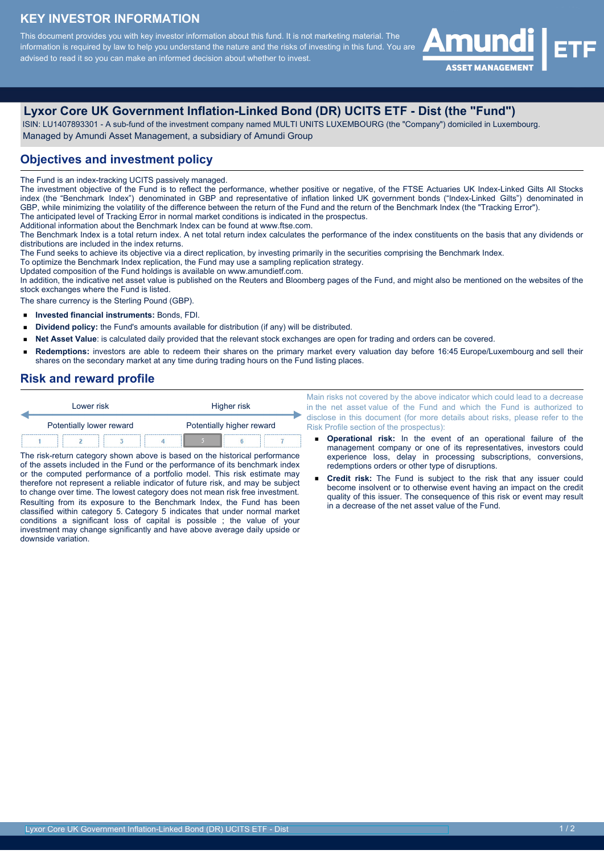# **KEY INVESTOR INFORMATION**

This document provides you with key investor information about this fund. It is not marketing material. The information is required by law to help you understand the nature and the risks of investing in this fund. You are advised to read it so you can make an informed decision about whether to invest.



# **Lyxor Core UK Government Inflation-Linked Bond (DR) UCITS ETF - Dist (the "Fund")**

 ISIN: LU1407893301 - A sub-fund of the investment company named MULTI UNITS LUXEMBOURG (the "Company") domiciled in Luxembourg. Managed by Amundi Asset Management, a subsidiary of Amundi Group

## **Objectives and investment policy**

The Fund is an index-tracking UCITS passively managed.

The investment objective of the Fund is to reflect the performance, whether positive or negative, of the FTSE Actuaries UK Index-Linked Gilts All Stocks index (the "Benchmark Index") denominated in GBP and representative of inflation linked UK government bonds ("Index-Linked Gilts") denominated in GBP, while minimizing the volatility of the difference between the return of the Fund and the return of the Benchmark Index (the "Tracking Error"). The anticipated level of Tracking Error in normal market conditions is indicated in the prospectus.

Additional information about the Benchmark Index can be found at www.ftse.com.

The Benchmark Index is a total return index. A net total return index calculates the performance of the index constituents on the basis that any dividends or distributions are included in the index returns.

The Fund seeks to achieve its objective via a direct replication, by investing primarily in the securities comprising the Benchmark Index.

To optimize the Benchmark Index replication, the Fund may use a sampling replication strategy.

Updated composition of the Fund holdings is available on www.amundietf.com.

In addition, the indicative net asset value is published on the Reuters and Bloomberg pages of the Fund, and might also be mentioned on the websites of the stock exchanges where the Fund is listed.

The share currency is the Sterling Pound (GBP).

- $\blacksquare$ **Invested financial instruments:** Bonds, FDI.
- $\blacksquare$ **Dividend policy:** the Fund's amounts available for distribution (if any) will be distributed.
- **Net Asset Value**: is calculated daily provided that the relevant stock exchanges are open for trading and orders can be covered.  $\blacksquare$
- **Redemptions:** investors are able to redeem their shares on the primary market every valuation day before 16:45 Europe/Luxembourg and sell their  $\blacksquare$ shares on the secondary market at any time during trading hours on the Fund listing places.

#### **Risk and reward profile**

| Lower risk               |  |  | Higher risk               |  |  |  |
|--------------------------|--|--|---------------------------|--|--|--|
| Potentially lower reward |  |  | Potentially higher reward |  |  |  |
|                          |  |  |                           |  |  |  |

The risk-return category shown above is based on the historical performance of the assets included in the Fund or the performance of its benchmark index or the computed performance of a portfolio model. This risk estimate may therefore not represent a reliable indicator of future risk, and may be subject to change over time. The lowest category does not mean risk free investment. Resulting from its exposure to the Benchmark Index, the Fund has been classified within category 5. Category 5 indicates that under normal market conditions a significant loss of capital is possible ; the value of your investment may change significantly and have above average daily upside or downside variation.

Main risks not covered by the above indicator which could lead to a decrease in the net asset value of the Fund and which the Fund is authorized to disclose in this document (for more details about risks, please refer to the Risk Profile section of the prospectus):

- **Operational risk:** In the event of an operational failure of the management company or one of its representatives, investors could experience loss, delay in processing subscriptions, conversions, redemptions orders or other type of disruptions.
- **Credit risk:** The Fund is subject to the risk that any issuer could become insolvent or to otherwise event having an impact on the credit quality of this issuer. The consequence of this risk or event may result in a decrease of the net asset value of the Fund.